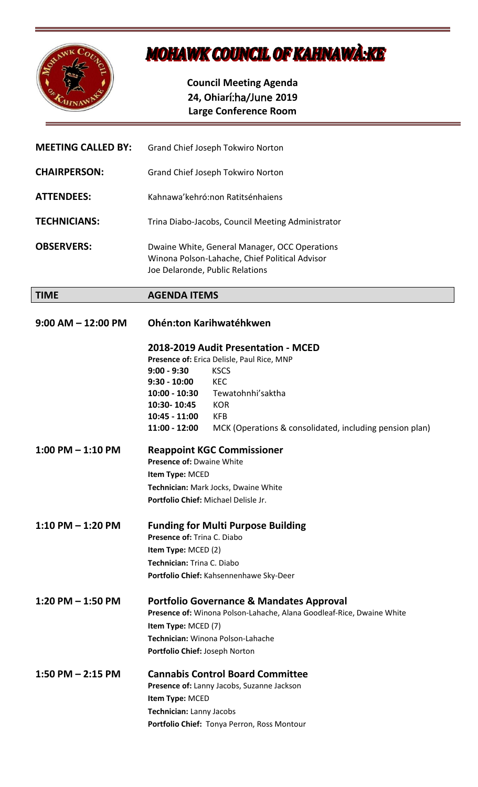

## **MOHAWK COUNCIL OF KAHNAWA:KE**

**Council Meeting Agenda 24, Ohiar**í:ha/June **2019 Large Conference Room**

| <b>MEETING CALLED BY:</b> | Grand Chief Joseph Tokwiro Norton                                                                                                                                                                                                                                                                                                   |
|---------------------------|-------------------------------------------------------------------------------------------------------------------------------------------------------------------------------------------------------------------------------------------------------------------------------------------------------------------------------------|
| <b>CHAIRPERSON:</b>       | Grand Chief Joseph Tokwiro Norton                                                                                                                                                                                                                                                                                                   |
| <b>ATTENDEES:</b>         | Kahnawa'kehró:non Ratitsénhaiens                                                                                                                                                                                                                                                                                                    |
| <b>TECHNICIANS:</b>       | Trina Diabo-Jacobs, Council Meeting Administrator                                                                                                                                                                                                                                                                                   |
| <b>OBSERVERS:</b>         | Dwaine White, General Manager, OCC Operations<br>Winona Polson-Lahache, Chief Political Advisor<br>Joe Delaronde, Public Relations                                                                                                                                                                                                  |
| <b>TIME</b>               | <b>AGENDA ITEMS</b>                                                                                                                                                                                                                                                                                                                 |
| $9:00$ AM $-$ 12:00 PM    | Ohén:ton Karihwatéhkwen                                                                                                                                                                                                                                                                                                             |
|                           | 2018-2019 Audit Presentation - MCED<br>Presence of: Erica Delisle, Paul Rice, MNP<br>$9:00 - 9:30$<br><b>KSCS</b><br><b>KEC</b><br>$9:30 - 10:00$<br>Tewatohnhi'saktha<br>10:00 - 10:30<br>10:30-10:45<br><b>KOR</b><br>$10:45 - 11:00$<br><b>KFB</b><br>$11:00 - 12:00$<br>MCK (Operations & consolidated, including pension plan) |
| $1:00$ PM $-1:10$ PM      | <b>Reappoint KGC Commissioner</b><br><b>Presence of: Dwaine White</b><br>Item Type: MCED<br>Technician: Mark Jocks, Dwaine White<br>Portfolio Chief: Michael Delisle Jr.                                                                                                                                                            |
| $1:10$ PM $- 1:20$ PM     | <b>Funding for Multi Purpose Building</b><br>Presence of: Trina C. Diabo<br>Item Type: MCED (2)<br>Technician: Trina C. Diabo<br>Portfolio Chief: Kahsennenhawe Sky-Deer                                                                                                                                                            |
| 1:20 PM $-$ 1:50 PM       | <b>Portfolio Governance &amp; Mandates Approval</b><br>Presence of: Winona Polson-Lahache, Alana Goodleaf-Rice, Dwaine White<br>Item Type: MCED (7)<br>Technician: Winona Polson-Lahache<br>Portfolio Chief: Joseph Norton                                                                                                          |
| 1:50 PM $-$ 2:15 PM       | <b>Cannabis Control Board Committee</b><br>Presence of: Lanny Jacobs, Suzanne Jackson<br>Item Type: MCED<br>Technician: Lanny Jacobs<br>Portfolio Chief: Tonya Perron, Ross Montour                                                                                                                                                 |